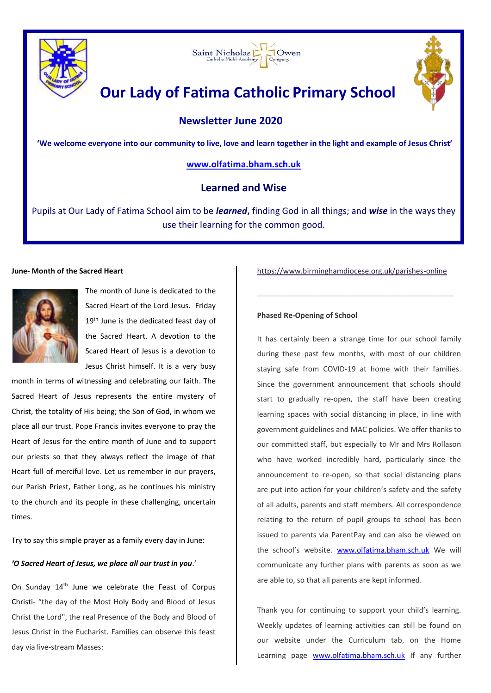





# **Our Lady of Fatima Catholic Primary School**

 **Newsletter June 2020**

**'We welcome everyone into our community to live, love and learn together in the light and example of Jesus Christ'**

# **[www.olfatima.bham.sch.uk](http://www.olfatima.bham.sch.uk/)**

# **Learned and Wise**

Pupils at Our Lady of Fatima School aim to be *learned***,** finding God in all things; and *wise* in the ways they use their learning for the common good.

# **June- Month of the Sacred Heart**



The month of June is dedicated to the Sacred Heart of the Lord Jesus. Friday 19<sup>th</sup> June is the dedicated feast day of the Sacred Heart. A devotion to the Scared Heart of Jesus is a devotion to Jesus Christ himself. It is a very busy

month in terms of witnessing and celebrating our faith. The Sacred Heart of Jesus represents the entire mystery of Christ, the totality of His being; the Son of God, in whom we place all our trust. Pope Francis invites everyone to pray the Heart of Jesus for the entire month of June and to support our priests so that they always reflect the image of that Heart full of merciful love. Let us remember in our prayers, our Parish Priest, Father Long, as he continues his ministry to the church and its people in these challenging, uncertain times.

Try to say this simple prayer as a family every day in June:

# *'O Sacred Heart of Jesus, we place all our trust in you*.'

On Sunday 14<sup>th</sup> June we celebrate the Feast of Corpus Christi- "the day of the Most Holy Body and Blood of Jesus Christ the Lord", the real Presence of the Body and Blood of Jesus Christ in the Eucharist. Families can observe this feast day via live-stream Masses:

<https://www.birminghamdiocese.org.uk/parishes-online>

\_\_\_\_\_\_\_\_\_\_\_\_\_\_\_\_\_\_\_\_\_\_\_\_\_\_\_\_\_\_\_\_\_\_\_\_\_\_\_\_\_\_\_\_\_\_\_\_

# **Phased Re-Opening of School**

It has certainly been a strange time for our school family during these past few months, with most of our children staying safe from COVID-19 at home with their families. Since the government announcement that schools should start to gradually re-open, the staff have been creating learning spaces with social distancing in place, in line with government guidelines and MAC policies. We offer thanks to our committed staff, but especially to Mr and Mrs Rollason who have worked incredibly hard, particularly since the announcement to re-open, so that social distancing plans are put into action for your children's safety and the safety of all adults, parents and staff members. All correspondence relating to the return of pupil groups to school has been issued to parents via ParentPay and can also be viewed on the school's website. [www.olfatima.bham.sch.uk](http://www.olfatima.bham.sch.uk/) We will communicate any further plans with parents as soon as we are able to, so that all parents are kept informed.

Thank you for continuing to support your child's learning. Weekly updates of learning activities can still be found on our website under the Curriculum tab, on the Home Learning page [www.olfatima.bham.sch.uk](http://www.olfatima.bham.sch.uk/) If any further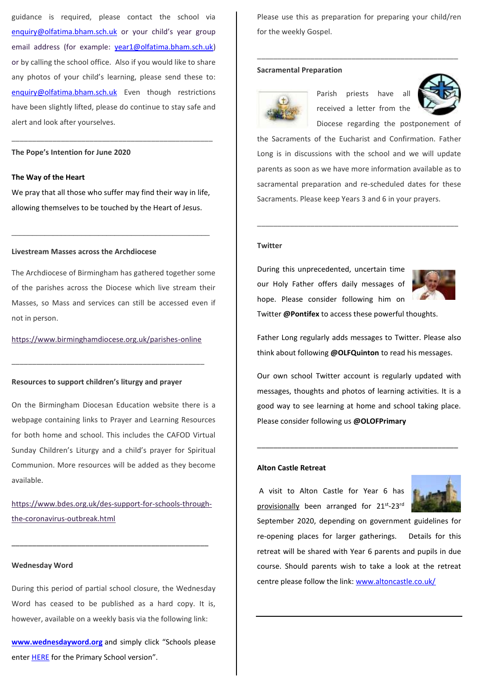guidance is required, please contact the school via [enquiry@olfatima.bham.sch.uk](mailto:enquiry@olfatima.bham.sch.uk) or your child's year group email address (for example: [year1@olfatima.bham.sch.uk\)](mailto:year1@olfatima.bham.sch.uk) or by calling the school office. Also if you would like to share any photos of your child's learning, please send these to: [enquiry@olfatima.bham.sch.uk](mailto:enquiry@olfatima.bham.sch.uk) Even though restrictions have been slightly lifted, please do continue to stay safe and alert and look after yourselves.

# **The Pope's Intention for June 2020**

# **The Way of the Heart**

We pray that all those who suffer may find their way in life, allowing themselves to be touched by the Heart of Jesus.

\_\_\_\_\_\_\_\_\_\_\_\_\_\_\_\_\_\_\_\_\_\_\_\_\_\_\_\_\_\_\_\_\_\_\_\_\_\_\_\_\_\_\_\_\_\_\_\_

\_\_\_\_\_\_\_\_\_\_\_\_\_\_\_\_\_\_\_\_\_\_\_\_\_\_\_\_\_\_\_\_\_\_\_\_\_\_\_\_\_\_\_\_\_\_\_\_\_

#### **Livestream Masses across the Archdiocese**

The Archdiocese of Birmingham has gathered together some of the parishes across the Diocese which live stream their Masses, so Mass and services can still be accessed even if not in person.

# <https://www.birminghamdiocese.org.uk/parishes-online>

\_\_\_\_\_\_\_\_\_\_\_\_\_\_\_\_\_\_\_\_\_\_\_\_\_\_\_\_\_\_\_\_\_\_\_\_\_\_\_\_\_\_\_\_\_\_\_

#### **Resources to support children's liturgy and prayer**

On the Birmingham Diocesan Education website there is a webpage containing links to Prayer and Learning Resources for both home and school. This includes the CAFOD Virtual Sunday Children's Liturgy and a child's prayer for Spiritual Communion. More resources will be added as they become available.

https://www.bdes.org.uk/des-support-for-schools-throughthe-coronavirus-outbreak.html

\_\_\_\_\_\_\_\_\_\_\_\_\_\_\_\_\_\_\_\_\_\_\_\_\_\_\_\_\_\_\_\_\_\_\_\_\_\_\_\_\_\_\_\_\_\_\_\_

# **Wednesday Word**

During this period of partial school closure, the Wednesday Word has ceased to be published as a hard copy. It is, however, available on a weekly basis via the following link:

**[www.wednesdayword.org](http://www.wednesdayword.org/)** and simply click "Schools please enter HERE for the Primary School version".

Please use this as preparation for preparing your child/ren for the weekly Gospel.

\_\_\_\_\_\_\_\_\_\_\_\_\_\_\_\_\_\_\_\_\_\_\_\_\_\_\_\_\_\_\_\_\_\_\_\_\_\_\_\_\_\_\_\_\_\_\_\_\_

# **Sacramental Preparation**



Parish priests have all received a letter from the Diocese regarding the postponement of



the Sacraments of the Eucharist and Confirmation. Father Long is in discussions with the school and we will update parents as soon as we have more information available as to sacramental preparation and re-scheduled dates for these Sacraments. Please keep Years 3 and 6 in your prayers.

\_\_\_\_\_\_\_\_\_\_\_\_\_\_\_\_\_\_\_\_\_\_\_\_\_\_\_\_\_\_\_\_\_\_\_\_\_\_\_\_\_\_\_\_\_\_\_\_\_

#### **Twitter**

During this unprecedented, uncertain time our Holy Father offers daily messages of hope. Please consider following him on



Twitter **@Pontifex** to access these powerful thoughts.

Father Long regularly adds messages to Twitter. Please also think about following **@OLFQuinton** to read his messages.

Our own school Twitter account is regularly updated with messages, thoughts and photos of learning activities. It is a good way to see learning at home and school taking place. Please consider following us **@OLOFPrimary**

\_\_\_\_\_\_\_\_\_\_\_\_\_\_\_\_\_\_\_\_\_\_\_\_\_\_\_\_\_\_\_\_\_\_\_\_\_\_\_\_\_\_\_\_\_\_\_\_\_

# **Alton Castle Retreat**

A visit to Alton Castle for Year 6 has provisionally been arranged for 21st-23rd



September 2020, depending on government guidelines for re-opening places for larger gatherings. Details for this retreat will be shared with Year 6 parents and pupils in due course. Should parents wish to take a look at the retreat centre please follow the link[: www.altoncastle.co.uk/](http://www.altoncastle.co.uk/)